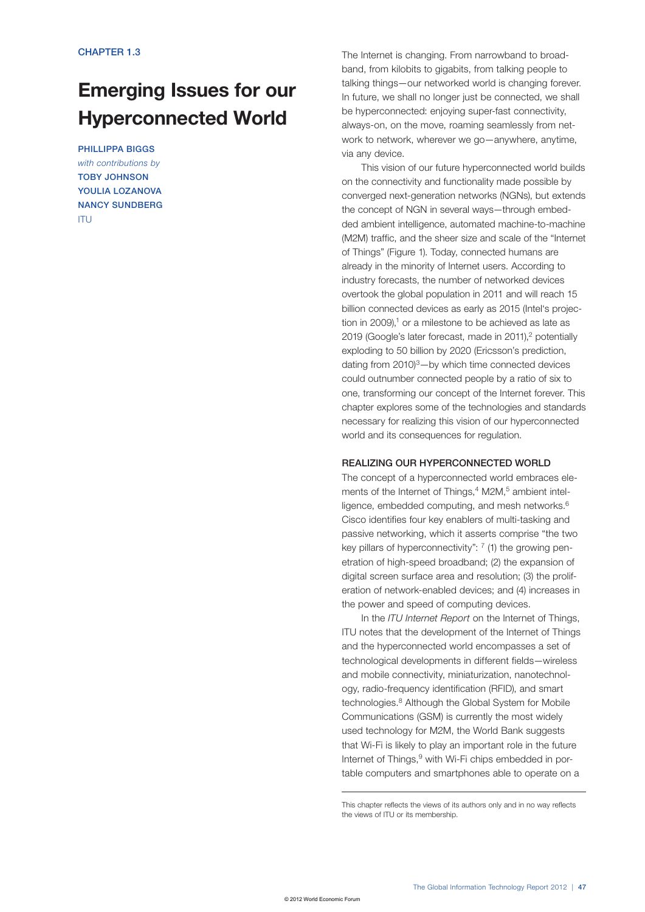# Emerging Issues for our Hyperconnected World

PHILLIPPA BIGGS *with contributions by* TOBY JOHNSON YOULIA LOZANOVA NANCY SUNDBERG ITU

The Internet is changing. From narrowband to broadband, from kilobits to gigabits, from talking people to talking things—our networked world is changing forever. In future, we shall no longer just be connected, we shall be hyperconnected: enjoying super-fast connectivity, always-on, on the move, roaming seamlessly from network to network, wherever we go—anywhere, anytime, via any device.

This vision of our future hyperconnected world builds on the connectivity and functionality made possible by converged next-generation networks (NGNs), but extends the concept of NGN in several ways—through embedded ambient intelligence, automated machine-to-machine (M2M) traffic, and the sheer size and scale of the "Internet of Things" (Figure 1). Today, connected humans are already in the minority of Internet users. According to industry forecasts, the number of networked devices overtook the global population in 2011 and will reach 15 billion connected devices as early as 2015 (Intel's projection in 2009), $1$  or a milestone to be achieved as late as 2019 (Google's later forecast, made in 2011),<sup>2</sup> potentially exploding to 50 billion by 2020 (Ericsson's prediction, dating from 2010)3—by which time connected devices could outnumber connected people by a ratio of six to one, transforming our concept of the Internet forever. This chapter explores some of the technologies and standards necessary for realizing this vision of our hyperconnected world and its consequences for regulation.

## REALIZING OUR HYPERCONNECTED WORLD

The concept of a hyperconnected world embraces elements of the Internet of Things,<sup>4</sup> M2M,<sup>5</sup> ambient intelligence, embedded computing, and mesh networks.<sup>6</sup> Cisco identifies four key enablers of multi-tasking and passive networking, which it asserts comprise "the two key pillars of hyperconnectivity":  $7$  (1) the growing penetration of high-speed broadband; (2) the expansion of digital screen surface area and resolution; (3) the proliferation of network-enabled devices; and (4) increases in the power and speed of computing devices.

In the *ITU Internet Report* on the Internet of Things, ITU notes that the development of the Internet of Things and the hyperconnected world encompasses a set of technological developments in different fields—wireless and mobile connectivity, miniaturization, nanotechnology, radio-frequency identification (RFID), and smart technologies.<sup>8</sup> Although the Global System for Mobile Communications (GSM) is currently the most widely used technology for M2M, the World Bank suggests that Wi-Fi is likely to play an important role in the future Internet of Things, <sup>9</sup> with Wi-Fi chips embedded in portable computers and smartphones able to operate on a

This chapter reflects the views of its authors only and in no way reflects the views of ITU or its membership.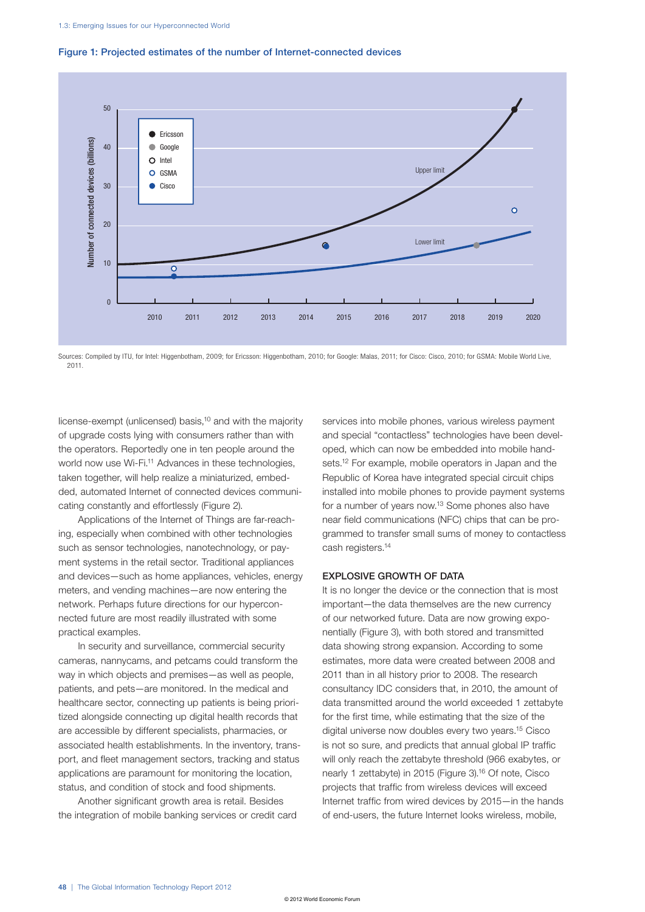

## Figure 1: Projected estimates of the number of Internet-connected devices

Sources: Compiled by ITU, for Intel: Higgenbotham, 2009; for Ericsson: Higgenbotham, 2010; for Google: Malas, 2011; for Cisco; Cisco, 2010; for GSMA: Mobile World Live, 2011.

license-exempt (unlicensed) basis,<sup>10</sup> and with the majority of upgrade costs lying with consumers rather than with the operators. Reportedly one in ten people around the world now use Wi-Fi.<sup>11</sup> Advances in these technologies, taken together, will help realize a miniaturized, embedded, automated Internet of connected devices communicating constantly and effortlessly (Figure 2).

Applications of the Internet of Things are far-reaching, especially when combined with other technologies such as sensor technologies, nanotechnology, or payment systems in the retail sector. Traditional appliances and devices—such as home appliances, vehicles, energy meters, and vending machines—are now entering the network. Perhaps future directions for our hyperconnected future are most readily illustrated with some practical examples.

In security and surveillance, commercial security cameras, nannycams, and petcams could transform the way in which objects and premises—as well as people, patients, and pets—are monitored. In the medical and healthcare sector, connecting up patients is being prioritized alongside connecting up digital health records that are accessible by different specialists, pharmacies, or associated health establishments. In the inventory, transport, and fleet management sectors, tracking and status applications are paramount for monitoring the location, status, and condition of stock and food shipments.

Another significant growth area is retail. Besides the integration of mobile banking services or credit card services into mobile phones, various wireless payment and special "contactless" technologies have been developed, which can now be embedded into mobile handsets.<sup>12</sup> For example, mobile operators in Japan and the Republic of Korea have integrated special circuit chips installed into mobile phones to provide payment systems for a number of years now.13 Some phones also have near field communications (NFC) chips that can be programmed to transfer small sums of money to contactless cash registers.14

# EXPLOSIVE GROWTH OF DATA

It is no longer the device or the connection that is most important—the data themselves are the new currency of our networked future. Data are now growing exponentially (Figure 3), with both stored and transmitted data showing strong expansion. According to some estimates, more data were created between 2008 and 2011 than in all history prior to 2008. The research consultancy IDC considers that, in 2010, the amount of data transmitted around the world exceeded 1 zettabyte for the first time, while estimating that the size of the digital universe now doubles every two years.15 Cisco is not so sure, and predicts that annual global IP traffic will only reach the zettabyte threshold (966 exabytes, or nearly 1 zettabyte) in 2015 (Figure 3).<sup>16</sup> Of note, Cisco projects that traffic from wireless devices will exceed Internet traffic from wired devices by 2015—in the hands of end-users, the future Internet looks wireless, mobile,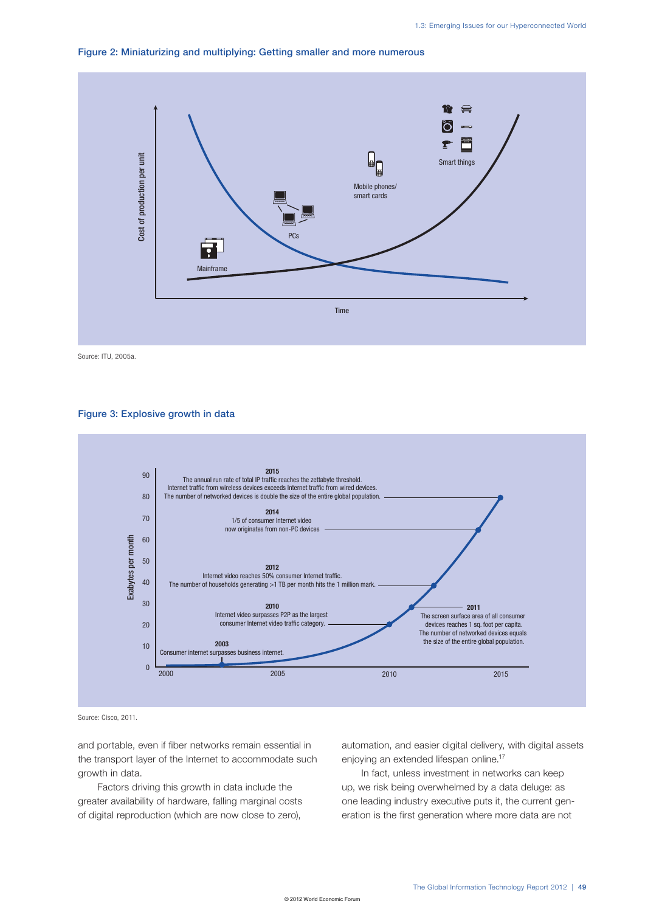



Source: ITU, 2005a.

## Figure 3: Explosive growth in data



Source: Cisco, 2011.

and portable, even if fiber networks remain essential in the transport layer of the Internet to accommodate such growth in data.

Factors driving this growth in data include the greater availability of hardware, falling marginal costs of digital reproduction (which are now close to zero),

automation, and easier digital delivery, with digital assets enjoying an extended lifespan online.<sup>17</sup>

In fact, unless investment in networks can keep up, we risk being overwhelmed by a data deluge: as one leading industry executive puts it, the current generation is the first generation where more data are not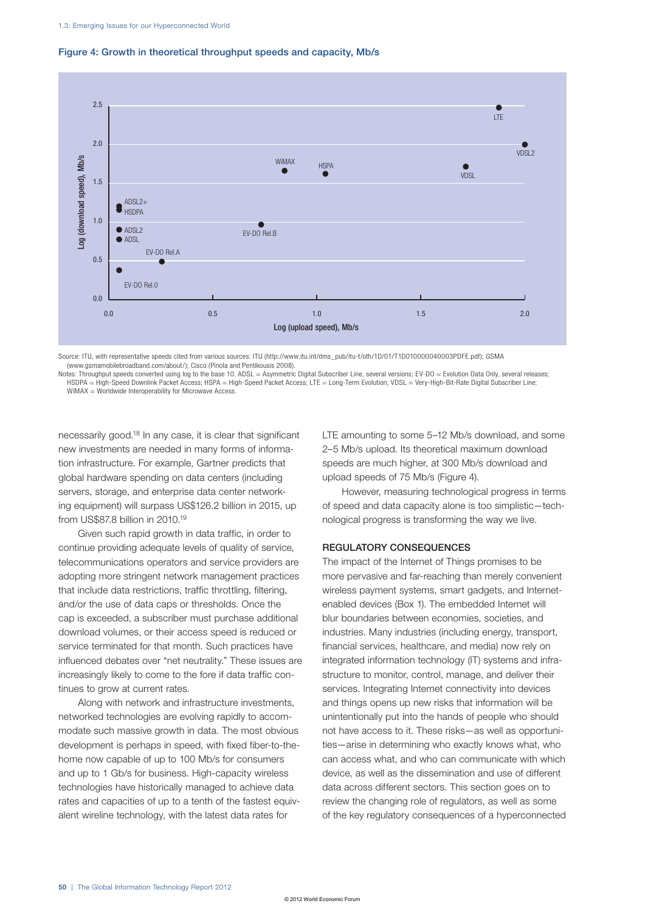

## Figure 4: Growth in theoretical throughput speeds and capacity, Mb/s

Source: ITU, with representative speeds cited from various sources: ITU (http://www.itu.int/dms\_pub/itu-t/oth/1D/01/T1D010000040003PDFE.pdf); GSMA (www.gsmamobilebroadband.com/about/); Cisco (Pinola and Pentikousis 2008).

Notes: Throughput speeds converted using log to the base 10. ADSL = Asymmetric Digital Subscriber Line, several versions; EV-DO = Evolution Data Only, several releases; HSDPA = High-Speed Downlink Packet Access; HSPA = High-Speed Packet Access; LTE = Long-Term Evolution; VDSL = Very-High-Bit-Rate Digital Subscriber Line;<br>WiMAX = Worldwide Interoperability for Microwave Access.

necessarily good.18 In any case, it is clear that significant new investments are needed in many forms of information infrastructure. For example, Gartner predicts that global hardware spending on data centers (including servers, storage, and enterprise data center networking equipment) will surpass US\$126.2 billion in 2015, up from US\$87.8 billion in 2010.19

Given such rapid growth in data traffic, in order to continue providing adequate levels of quality of service, telecommunications operators and service providers are adopting more stringent network management practices that include data restrictions, traffic throttling, filtering, and/or the use of data caps or thresholds. Once the cap is exceeded, a subscriber must purchase additional download volumes, or their access speed is reduced or service terminated for that month. Such practices have influenced debates over "net neutrality." These issues are increasingly likely to come to the fore if data traffic continues to grow at current rates.

Along with network and infrastructure investments, networked technologies are evolving rapidly to accommodate such massive growth in data. The most obvious development is perhaps in speed, with fixed fiber-to-thehome now capable of up to 100 Mb/s for consumers and up to 1 Gb/s for business. High-capacity wireless technologies have historically managed to achieve data rates and capacities of up to a tenth of the fastest equivalent wireline technology, with the latest data rates for

LTE amounting to some 5–12 Mb/s download, and some 2–5 Mb/s upload. Its theoretical maximum download speeds are much higher, at 300 Mb/s download and upload speeds of 75 Mb/s (Figure 4).

However, measuring technological progress in terms of speed and data capacity alone is too simplistic—technological progress is transforming the way we live.

## REGULATORY CONSEQUENCES

The impact of the Internet of Things promises to be more pervasive and far-reaching than merely convenient wireless payment systems, smart gadgets, and Internetenabled devices (Box 1). The embedded Internet will blur boundaries between economies, societies, and industries. Many industries (including energy, transport, financial services, healthcare, and media) now rely on integrated information technology (IT) systems and infrastructure to monitor, control, manage, and deliver their services. Integrating Internet connectivity into devices and things opens up new risks that information will be unintentionally put into the hands of people who should not have access to it. These risks—as well as opportunities—arise in determining who exactly knows what, who can access what, and who can communicate with which device, as well as the dissemination and use of different data across different sectors. This section goes on to review the changing role of regulators, as well as some of the key regulatory consequences of a hyperconnected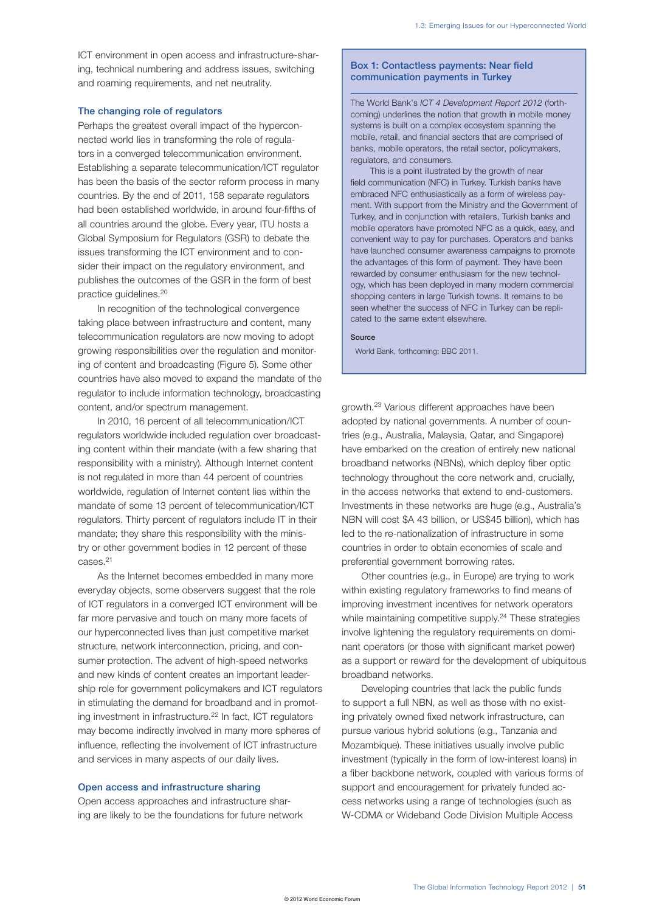ICT environment in open access and infrastructure-sharing, technical numbering and address issues, switching and roaming requirements, and net neutrality.

## The changing role of regulators

Perhaps the greatest overall impact of the hyperconnected world lies in transforming the role of regulators in a converged telecommunication environment. Establishing a separate telecommunication/ICT regulator has been the basis of the sector reform process in many countries. By the end of 2011, 158 separate regulators had been established worldwide, in around four-fifths of all countries around the globe. Every year, ITU hosts a Global Symposium for Regulators (GSR) to debate the issues transforming the ICT environment and to consider their impact on the regulatory environment, and publishes the outcomes of the GSR in the form of best practice guidelines.20

In recognition of the technological convergence taking place between infrastructure and content, many telecommunication regulators are now moving to adopt growing responsibilities over the regulation and monitoring of content and broadcasting (Figure 5). Some other countries have also moved to expand the mandate of the regulator to include information technology, broadcasting content, and/or spectrum management.

In 2010, 16 percent of all telecommunication/ICT regulators worldwide included regulation over broadcasting content within their mandate (with a few sharing that responsibility with a ministry). Although Internet content is not regulated in more than 44 percent of countries worldwide, regulation of Internet content lies within the mandate of some 13 percent of telecommunication/ICT regulators. Thirty percent of regulators include IT in their mandate; they share this responsibility with the ministry or other government bodies in 12 percent of these cases.21

As the Internet becomes embedded in many more everyday objects, some observers suggest that the role of ICT regulators in a converged ICT environment will be far more pervasive and touch on many more facets of our hyperconnected lives than just competitive market structure, network interconnection, pricing, and consumer protection. The advent of high-speed networks and new kinds of content creates an important leadership role for government policymakers and ICT regulators in stimulating the demand for broadband and in promoting investment in infrastructure.22 In fact, ICT regulators may become indirectly involved in many more spheres of influence, reflecting the involvement of ICT infrastructure and services in many aspects of our daily lives.

# Open access and infrastructure sharing

Open access approaches and infrastructure sharing are likely to be the foundations for future network

## Box 1: Contactless payments: Near field communication payments in Turkey

The World Bank's *ICT 4 Development Report 2012* (forthcoming) underlines the notion that growth in mobile money systems is built on a complex ecosystem spanning the mobile, retail, and financial sectors that are comprised of banks, mobile operators, the retail sector, policymakers, regulators, and consumers.

This is a point illustrated by the growth of near field communication (NFC) in Turkey. Turkish banks have embraced NFC enthusiastically as a form of wireless payment. With support from the Ministry and the Government of Turkey, and in conjunction with retailers, Turkish banks and mobile operators have promoted NFC as a quick, easy, and convenient way to pay for purchases. Operators and banks have launched consumer awareness campaigns to promote the advantages of this form of payment. They have been rewarded by consumer enthusiasm for the new technology, which has been deployed in many modern commercial shopping centers in large Turkish towns. It remains to be seen whether the success of NFC in Turkey can be replicated to the same extent elsewhere.

#### Source

World Bank, forthcoming; BBC 2011.

growth.23 Various different approaches have been adopted by national governments. A number of countries (e.g., Australia, Malaysia, Qatar, and Singapore) have embarked on the creation of entirely new national broadband networks (NBNs), which deploy fiber optic technology throughout the core network and, crucially, in the access networks that extend to end-customers. Investments in these networks are huge (e.g., Australia's NBN will cost \$A 43 billion, or US\$45 billion), which has led to the re-nationalization of infrastructure in some countries in order to obtain economies of scale and preferential government borrowing rates.

Other countries (e.g., in Europe) are trying to work within existing regulatory frameworks to find means of improving investment incentives for network operators while maintaining competitive supply.<sup>24</sup> These strategies involve lightening the regulatory requirements on dominant operators (or those with significant market power) as a support or reward for the development of ubiquitous broadband networks.

Developing countries that lack the public funds to support a full NBN, as well as those with no existing privately owned fixed network infrastructure, can pursue various hybrid solutions (e.g., Tanzania and Mozambique). These initiatives usually involve public investment (typically in the form of low-interest loans) in a fiber backbone network, coupled with various forms of support and encouragement for privately funded access networks using a range of technologies (such as W-CDMA or Wideband Code Division Multiple Access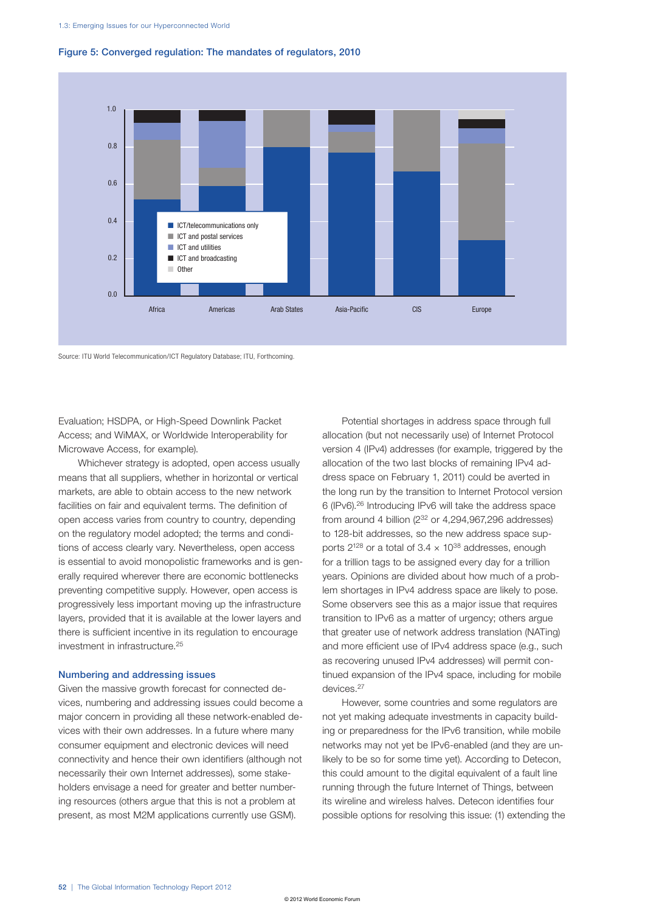

## Figure 5: Converged regulation: The mandates of regulators, 2010

Source: ITU World Telecommunication/ICT Regulatory Database; ITU, Forthcoming.

Evaluation; HSDPA, or High-Speed Downlink Packet Access; and WiMAX, or Worldwide Interoperability for Microwave Access, for example).

Whichever strategy is adopted, open access usually means that all suppliers, whether in horizontal or vertical markets, are able to obtain access to the new network facilities on fair and equivalent terms. The definition of open access varies from country to country, depending on the regulatory model adopted; the terms and conditions of access clearly vary. Nevertheless, open access is essential to avoid monopolistic frameworks and is generally required wherever there are economic bottlenecks preventing competitive supply. However, open access is progressively less important moving up the infrastructure layers, provided that it is available at the lower layers and there is sufficient incentive in its regulation to encourage investment in infrastructure.25

## Numbering and addressing issues

Given the massive growth forecast for connected devices, numbering and addressing issues could become a major concern in providing all these network-enabled devices with their own addresses. In a future where many consumer equipment and electronic devices will need connectivity and hence their own identifiers (although not necessarily their own Internet addresses), some stakeholders envisage a need for greater and better numbering resources (others argue that this is not a problem at present, as most M2M applications currently use GSM).

Potential shortages in address space through full allocation (but not necessarily use) of Internet Protocol version 4 (IPv4) addresses (for example, triggered by the allocation of the two last blocks of remaining IPv4 address space on February 1, 2011) could be averted in the long run by the transition to Internet Protocol version 6 (IPv6).26 Introducing IPv6 will take the address space from around 4 billion  $(2^{32}$  or 4,294,967,296 addresses) to 128-bit addresses, so the new address space supports  $2^{128}$  or a total of 3.4  $\times$  10<sup>38</sup> addresses, enough for a trillion tags to be assigned every day for a trillion years. Opinions are divided about how much of a problem shortages in IPv4 address space are likely to pose. Some observers see this as a major issue that requires transition to IPv6 as a matter of urgency; others argue that greater use of network address translation (NATing) and more efficient use of IPv4 address space (e.g., such as recovering unused IPv4 addresses) will permit continued expansion of the IPv4 space, including for mobile devices.27

However, some countries and some regulators are not yet making adequate investments in capacity building or preparedness for the IPv6 transition, while mobile networks may not yet be IPv6-enabled (and they are unlikely to be so for some time yet). According to Detecon, this could amount to the digital equivalent of a fault line running through the future Internet of Things, between its wireline and wireless halves. Detecon identifies four possible options for resolving this issue: (1) extending the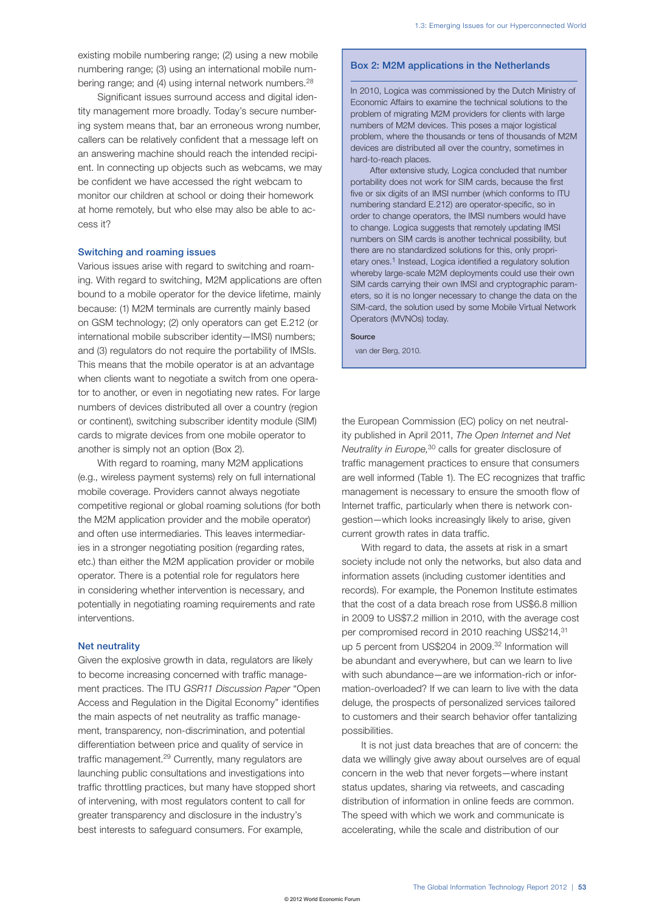existing mobile numbering range; (2) using a new mobile numbering range; (3) using an international mobile numbering range; and (4) using internal network numbers.<sup>28</sup>

Significant issues surround access and digital identity management more broadly. Today's secure numbering system means that, bar an erroneous wrong number, callers can be relatively confident that a message left on an answering machine should reach the intended recipient. In connecting up objects such as webcams, we may be confident we have accessed the right webcam to monitor our children at school or doing their homework at home remotely, but who else may also be able to access it?

## Switching and roaming issues

Various issues arise with regard to switching and roaming. With regard to switching, M2M applications are often bound to a mobile operator for the device lifetime, mainly because: (1) M2M terminals are currently mainly based on GSM technology; (2) only operators can get E.212 (or international mobile subscriber identity—IMSI) numbers; and (3) regulators do not require the portability of IMSIs. This means that the mobile operator is at an advantage when clients want to negotiate a switch from one operator to another, or even in negotiating new rates. For large numbers of devices distributed all over a country (region or continent), switching subscriber identity module (SIM) cards to migrate devices from one mobile operator to another is simply not an option (Box 2).

With regard to roaming, many M2M applications (e.g., wireless payment systems) rely on full international mobile coverage. Providers cannot always negotiate competitive regional or global roaming solutions (for both the M2M application provider and the mobile operator) and often use intermediaries. This leaves intermediaries in a stronger negotiating position (regarding rates, etc.) than either the M2M application provider or mobile operator. There is a potential role for regulators here in considering whether intervention is necessary, and potentially in negotiating roaming requirements and rate interventions.

## Net neutrality

Given the explosive growth in data, regulators are likely to become increasing concerned with traffic management practices. The ITU *GSR11 Discussion Paper* "Open Access and Regulation in the Digital Economy" identifies the main aspects of net neutrality as traffic management, transparency, non-discrimination, and potential differentiation between price and quality of service in traffic management.29 Currently, many regulators are launching public consultations and investigations into traffic throttling practices, but many have stopped short of intervening, with most regulators content to call for greater transparency and disclosure in the industry's best interests to safeguard consumers. For example,

# Box 2: M2M applications in the Netherlands

In 2010, Logica was commissioned by the Dutch Ministry of Economic Affairs to examine the technical solutions to the problem of migrating M2M providers for clients with large numbers of M2M devices. This poses a major logistical problem, where the thousands or tens of thousands of M2M devices are distributed all over the country, sometimes in hard-to-reach places.

After extensive study, Logica concluded that number portability does not work for SIM cards, because the first five or six digits of an IMSI number (which conforms to ITU numbering standard E.212) are operator-specific, so in order to change operators, the IMSI numbers would have to change. Logica suggests that remotely updating IMSI numbers on SIM cards is another technical possibility, but there are no standardized solutions for this, only proprietary ones.1 Instead, Logica identified a regulatory solution whereby large-scale M2M deployments could use their own SIM cards carrying their own IMSI and cryptographic parameters, so it is no longer necessary to change the data on the SIM-card, the solution used by some Mobile Virtual Network Operators (MVNOs) today.

#### Source

van der Berg, 2010.

the European Commission (EC) policy on net neutrality published in April 2011, *The Open Internet and Net Neutrality in Europe,*30 calls for greater disclosure of traffic management practices to ensure that consumers are well informed (Table 1). The EC recognizes that traffic management is necessary to ensure the smooth flow of Internet traffic, particularly when there is network congestion—which looks increasingly likely to arise, given current growth rates in data traffic.

With regard to data, the assets at risk in a smart society include not only the networks, but also data and information assets (including customer identities and records). For example, the Ponemon Institute estimates that the cost of a data breach rose from US\$6.8 million in 2009 to US\$7.2 million in 2010, with the average cost per compromised record in 2010 reaching US\$214,<sup>31</sup> up 5 percent from US\$204 in 2009.<sup>32</sup> Information will be abundant and everywhere, but can we learn to live with such abundance—are we information-rich or information-overloaded? If we can learn to live with the data deluge, the prospects of personalized services tailored to customers and their search behavior offer tantalizing possibilities.

It is not just data breaches that are of concern: the data we willingly give away about ourselves are of equal concern in the web that never forgets—where instant status updates, sharing via retweets, and cascading distribution of information in online feeds are common. The speed with which we work and communicate is accelerating, while the scale and distribution of our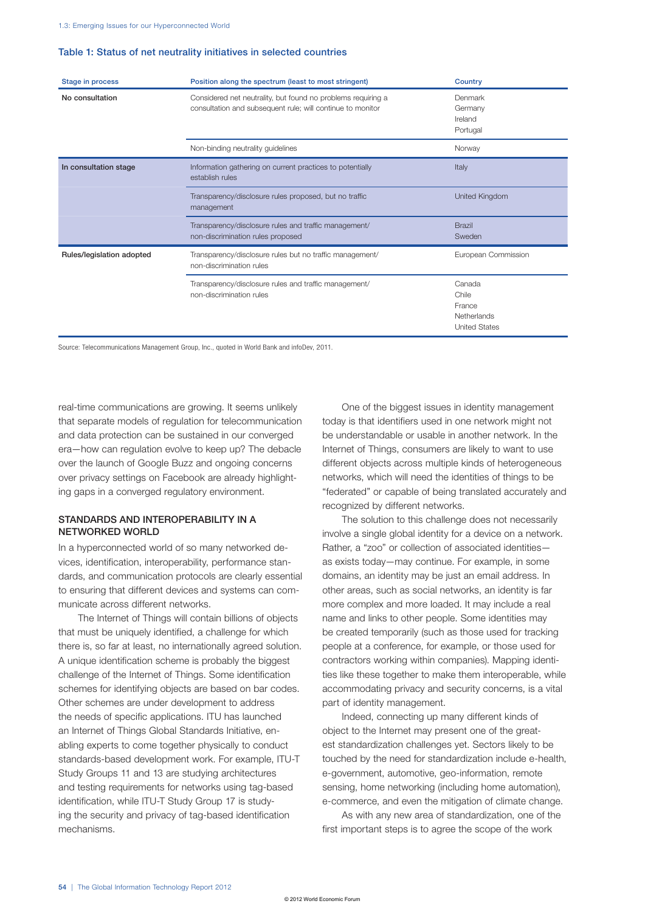## Table 1: Status of net neutrality initiatives in selected countries

| <b>Stage in process</b>   | Position along the spectrum (least to most stringent)                                                                      | Country                                                          |
|---------------------------|----------------------------------------------------------------------------------------------------------------------------|------------------------------------------------------------------|
| No consultation           | Considered net neutrality, but found no problems requiring a<br>consultation and subsequent rule; will continue to monitor | Denmark<br>Germany<br>Ireland<br>Portugal                        |
|                           | Non-binding neutrality guidelines                                                                                          | Norway                                                           |
| In consultation stage     | Information gathering on current practices to potentially<br>establish rules                                               | Italy                                                            |
|                           | Transparency/disclosure rules proposed, but no traffic<br>management                                                       | United Kingdom                                                   |
|                           | Transparency/disclosure rules and traffic management/<br>non-discrimination rules proposed                                 | <b>Brazil</b><br>Sweden                                          |
| Rules/legislation adopted | Transparency/disclosure rules but no traffic management/<br>non-discrimination rules                                       | European Commission                                              |
|                           | Transparency/disclosure rules and traffic management/<br>non-discrimination rules                                          | Canada<br>Chile<br>France<br>Netherlands<br><b>United States</b> |

Source: Telecommunications Management Group, Inc., quoted in World Bank and infoDev, 2011.

real-time communications are growing. It seems unlikely that separate models of regulation for telecommunication and data protection can be sustained in our converged era—how can regulation evolve to keep up? The debacle over the launch of Google Buzz and ongoing concerns over privacy settings on Facebook are already highlighting gaps in a converged regulatory environment.

## STANDARDS AND INTEROPERABILITY IN A NETWORKED WORLD

In a hyperconnected world of so many networked devices, identification, interoperability, performance standards, and communication protocols are clearly essential to ensuring that different devices and systems can communicate across different networks.

The Internet of Things will contain billions of objects that must be uniquely identified, a challenge for which there is, so far at least, no internationally agreed solution. A unique identification scheme is probably the biggest challenge of the Internet of Things. Some identification schemes for identifying objects are based on bar codes. Other schemes are under development to address the needs of specific applications. ITU has launched an Internet of Things Global Standards Initiative, enabling experts to come together physically to conduct standards-based development work. For example, ITU-T Study Groups 11 and 13 are studying architectures and testing requirements for networks using tag-based identification, while ITU-T Study Group 17 is studying the security and privacy of tag-based identification mechanisms.

One of the biggest issues in identity management today is that identifiers used in one network might not be understandable or usable in another network. In the Internet of Things, consumers are likely to want to use different objects across multiple kinds of heterogeneous networks, which will need the identities of things to be "federated" or capable of being translated accurately and recognized by different networks.

The solution to this challenge does not necessarily involve a single global identity for a device on a network. Rather, a "zoo" or collection of associated identities as exists today—may continue. For example, in some domains, an identity may be just an email address. In other areas, such as social networks, an identity is far more complex and more loaded. It may include a real name and links to other people. Some identities may be created temporarily (such as those used for tracking people at a conference, for example, or those used for contractors working within companies). Mapping identities like these together to make them interoperable, while accommodating privacy and security concerns, is a vital part of identity management.

Indeed, connecting up many different kinds of object to the Internet may present one of the greatest standardization challenges yet. Sectors likely to be touched by the need for standardization include e-health, e-government, automotive, geo-information, remote sensing, home networking (including home automation), e-commerce, and even the mitigation of climate change.

As with any new area of standardization, one of the first important steps is to agree the scope of the work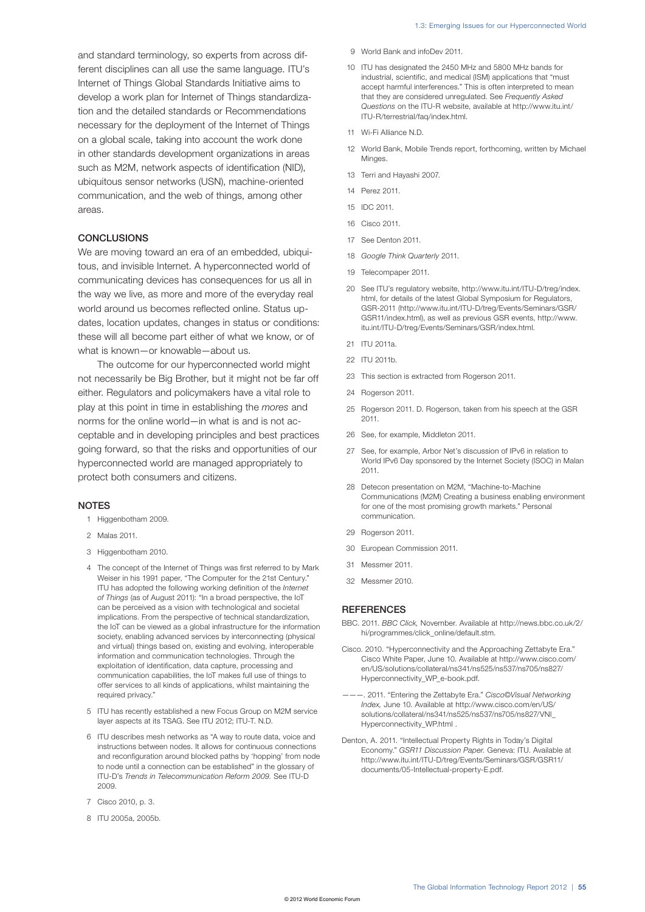- 9 World Bank and infoDev 2011.
- 10 ITU has designated the 2450 MHz and 5800 MHz bands for industrial, scientific, and medical (ISM) applications that "must accept harmful interferences." This is often interpreted to mean that they are considered unregulated. See *Frequently Asked Questions* on the ITU-R website, available at http://www.itu.int/ ITU-R/terrestrial/faq/index.html.
- 11 Wi-Fi Alliance N.D.
- 12 World Bank, Mobile Trends report, forthcoming, written by Michael Minges.
- 13 Terri and Hayashi 2007.
- 14 Perez 2011.
- 15 IDC 2011.
- 16 Cisco 2011.
- 17 See Denton 2011.
- 18 *Google Think Quarterly* 2011.
- 19 Telecompaper 2011.
- 20 See ITU's regulatory website, http://www.itu.int/ITU-D/treg/index. html, for details of the latest Global Symposium for Regulators, GSR-2011 (http://www.itu.int/ITU-D/treg/Events/Seminars/GSR/ GSR11/index.html), as well as previous GSR events, http://www. itu.int/ITU-D/treg/Events/Seminars/GSR/index.html.
- 21 ITU 2011a.
- 22 ITU 2011b.
- 23 This section is extracted from Rogerson 2011.
- 24 Rogerson 2011.
- 25 Rogerson 2011. D. Rogerson, taken from his speech at the GSR 2011.
- 26 See, for example, Middleton 2011.
- 27 See, for example, Arbor Net's discussion of IPv6 in relation to World IPv6 Day sponsored by the Internet Society (ISOC) in Malan 2011.
- 28 Detecon presentation on M2M, "Machine-to-Machine Communications (M2M) Creating a business enabling environment for one of the most promising growth markets." Personal communication.
- 29 Rogerson 2011.
- 30 European Commission 2011.
- 31 Messmer 2011.
- 32 Messmer 2010.

## **REFERENCES**

- BBC. 2011. *BBC Click,* November. Available at http://news.bbc.co.uk/2/ hi/programmes/click\_online/default.stm.
- Cisco. 2010. "Hyperconnectivity and the Approaching Zettabyte Era." Cisco White Paper, June 10. Available at http://www.cisco.com/ en/US/solutions/collateral/ns341/ns525/ns537/ns705/ns827/ Hyperconnectivity\_WP\_e-book.pdf.
- ———. 2011. "Entering the Zettabyte Era." *Cisco©Visual Networking Index,* June 10. Available at http://www.cisco.com/en/US/ solutions/collateral/ns341/ns525/ns537/ns705/ns827/VNI\_ Hyperconnectivity\_WP.html .
- Denton, A. 2011. "Intellectual Property Rights in Today's Digital Economy." *GSR11 Discussion Paper.* Geneva: ITU. Available at http://www.itu.int/ITU-D/treg/Events/Seminars/GSR/GSR11/ documents/05-Intellectual-property-E.pdf.

and standard terminology, so experts from across different disciplines can all use the same language. ITU's Internet of Things Global Standards Initiative aims to develop a work plan for Internet of Things standardization and the detailed standards or Recommendations necessary for the deployment of the Internet of Things on a global scale, taking into account the work done in other standards development organizations in areas such as M2M, network aspects of identification (NID), ubiquitous sensor networks (USN), machine-oriented communication, and the web of things, among other areas.

### **CONCLUSIONS**

We are moving toward an era of an embedded, ubiquitous, and invisible Internet. A hyperconnected world of communicating devices has consequences for us all in the way we live, as more and more of the everyday real world around us becomes reflected online. Status updates, location updates, changes in status or conditions: these will all become part either of what we know, or of what is known—or knowable—about us.

The outcome for our hyperconnected world might not necessarily be Big Brother, but it might not be far off either. Regulators and policymakers have a vital role to play at this point in time in establishing the *mores* and norms for the online world—in what is and is not acceptable and in developing principles and best practices going forward, so that the risks and opportunities of our hyperconnected world are managed appropriately to protect both consumers and citizens.

## **NOTES**

- 1 Higgenbotham 2009.
- 2 Malas 2011.
- 3 Higgenbotham 2010.
- 4 The concept of the Internet of Things was first referred to by Mark Weiser in his 1991 paper, "The Computer for the 21st Century." ITU has adopted the following working definition of the *Internet of Things* (as of August 2011): "In a broad perspective, the IoT can be perceived as a vision with technological and societal implications. From the perspective of technical standardization, the IoT can be viewed as a global infrastructure for the information society, enabling advanced services by interconnecting (physical and virtual) things based on, existing and evolving, interoperable information and communication technologies. Through the exploitation of identification, data capture, processing and communication capabilities, the IoT makes full use of things to offer services to all kinds of applications, whilst maintaining the required privacy."
- 5 ITU has recently established a new Focus Group on M2M service layer aspects at its TSAG. See ITU 2012; ITU-T. N.D.
- 6 ITU describes mesh networks as "A way to route data, voice and instructions between nodes. It allows for continuous connections and reconfiguration around blocked paths by 'hopping' from node to node until a connection can be established" in the glossary of ITU-D's *Trends in Telecommunication Reform 2009.* See ITU-D 2009.
- 7 Cisco 2010, p. 3.
- 8 ITU 2005a, 2005b.